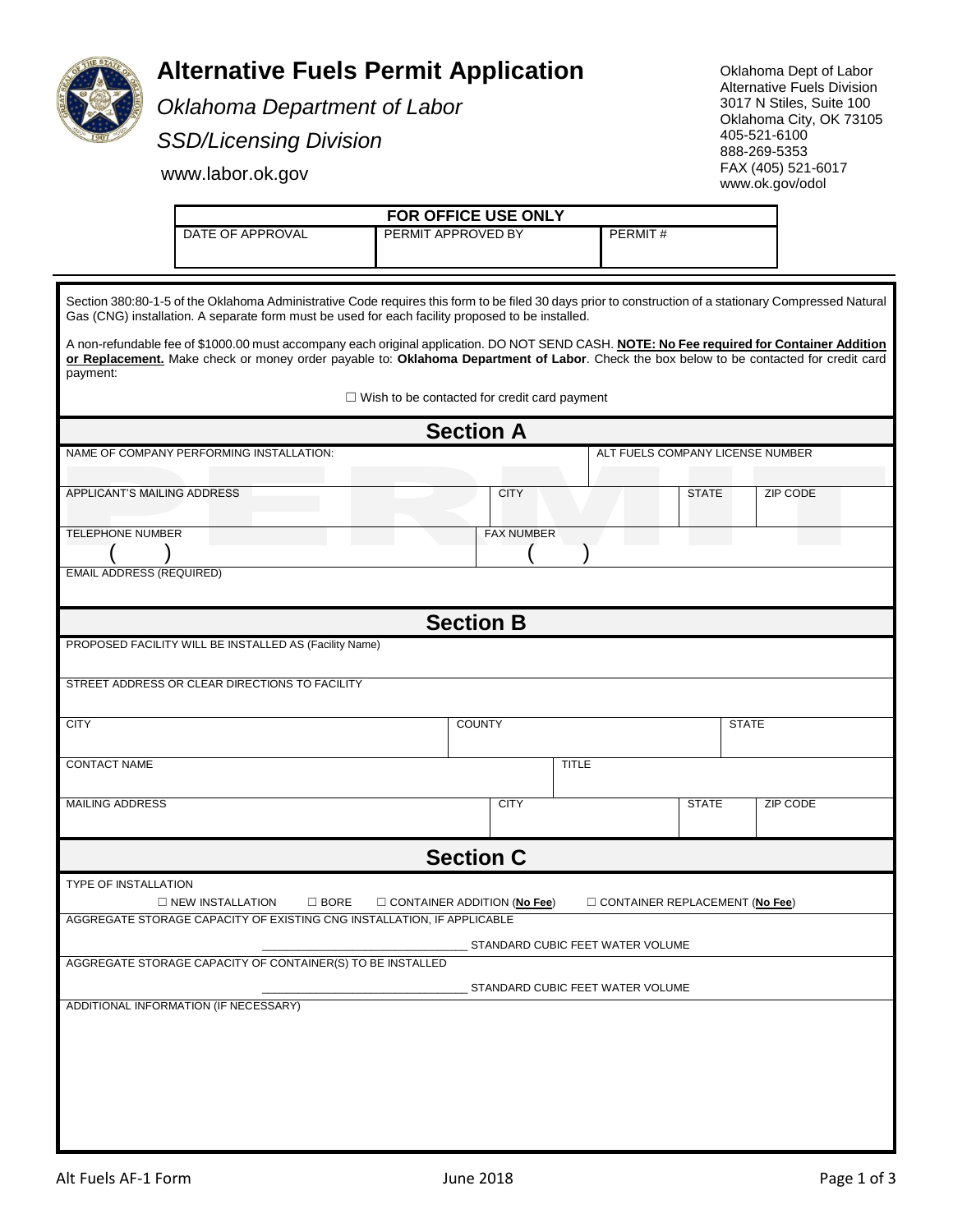

## **Alternative Fuels Permit Application**

*Oklahoma Department of Labor SSD/Licensing Division*

Oklahoma Dept of Labor Alternative Fuels Division 3017 N Stiles, Suite 100 Oklahoma City, OK 73105 405-521-6100 888-269-5353 FAX (405) 521-6017 www.ok.gov/odol

www.labor.ok.gov

**FOR OFFICE USE ONLY** DATE OF APPROVAL PERMIT APPROVED BY PERMIT #

Section 380:80-1-5 of the Oklahoma Administrative Code requires this form to be filed 30 days prior to construction of a stationary Compressed Natural Gas (CNG) installation. A separate form must be used for each facility proposed to be installed.

A non-refundable fee of \$1000.00 must accompany each original application. DO NOT SEND CASH. **NOTE: No Fee required for Container Addition or Replacement.** Make check or money order payable to: **Oklahoma Department of Labor**. Check the box below to be contacted for credit card payment:

☐ Wish to be contacted for credit card payment

| <b>Section A</b>                                                                                                         |                                  |  |              |              |  |  |  |  |  |
|--------------------------------------------------------------------------------------------------------------------------|----------------------------------|--|--------------|--------------|--|--|--|--|--|
| NAME OF COMPANY PERFORMING INSTALLATION:                                                                                 | ALT FUELS COMPANY LICENSE NUMBER |  |              |              |  |  |  |  |  |
|                                                                                                                          |                                  |  |              |              |  |  |  |  |  |
| APPLICANT'S MAILING ADDRESS                                                                                              | <b>CITY</b>                      |  | <b>STATE</b> | ZIP CODE     |  |  |  |  |  |
| <b>TELEPHONE NUMBER</b><br><b>FAX NUMBER</b>                                                                             |                                  |  |              |              |  |  |  |  |  |
|                                                                                                                          |                                  |  |              |              |  |  |  |  |  |
| <b>EMAIL ADDRESS (REQUIRED)</b>                                                                                          |                                  |  |              |              |  |  |  |  |  |
| <b>Section B</b>                                                                                                         |                                  |  |              |              |  |  |  |  |  |
| PROPOSED FACILITY WILL BE INSTALLED AS (Facility Name)                                                                   |                                  |  |              |              |  |  |  |  |  |
| STREET ADDRESS OR CLEAR DIRECTIONS TO FACILITY                                                                           |                                  |  |              |              |  |  |  |  |  |
| <b>CITY</b>                                                                                                              | <b>COUNTY</b>                    |  |              | <b>STATE</b> |  |  |  |  |  |
| <b>CONTACT NAME</b>                                                                                                      | <b>TITLE</b>                     |  |              |              |  |  |  |  |  |
| <b>MAILING ADDRESS</b>                                                                                                   | <b>CITY</b>                      |  | <b>STATE</b> | ZIP CODE     |  |  |  |  |  |
| <b>Section C</b>                                                                                                         |                                  |  |              |              |  |  |  |  |  |
| <b>TYPE OF INSTALLATION</b>                                                                                              |                                  |  |              |              |  |  |  |  |  |
| <b>NEW INSTALLATION</b><br>$\square$ BORE<br>$\Box$ CONTAINER ADDITION (No Fee)<br>$\Box$ CONTAINER REPLACEMENT (No Fee) |                                  |  |              |              |  |  |  |  |  |
| AGGREGATE STORAGE CAPACITY OF EXISTING CNG INSTALLATION, IF APPLICABLE                                                   |                                  |  |              |              |  |  |  |  |  |
| STANDARD CUBIC FEET WATER VOLUME                                                                                         |                                  |  |              |              |  |  |  |  |  |
| AGGREGATE STORAGE CAPACITY OF CONTAINER(S) TO BE INSTALLED                                                               |                                  |  |              |              |  |  |  |  |  |
| STANDARD CUBIC FEET WATER VOLUME                                                                                         |                                  |  |              |              |  |  |  |  |  |
| ADDITIONAL INFORMATION (IF NECESSARY)                                                                                    |                                  |  |              |              |  |  |  |  |  |
|                                                                                                                          |                                  |  |              |              |  |  |  |  |  |
|                                                                                                                          |                                  |  |              |              |  |  |  |  |  |
|                                                                                                                          |                                  |  |              |              |  |  |  |  |  |
|                                                                                                                          |                                  |  |              |              |  |  |  |  |  |
|                                                                                                                          |                                  |  |              |              |  |  |  |  |  |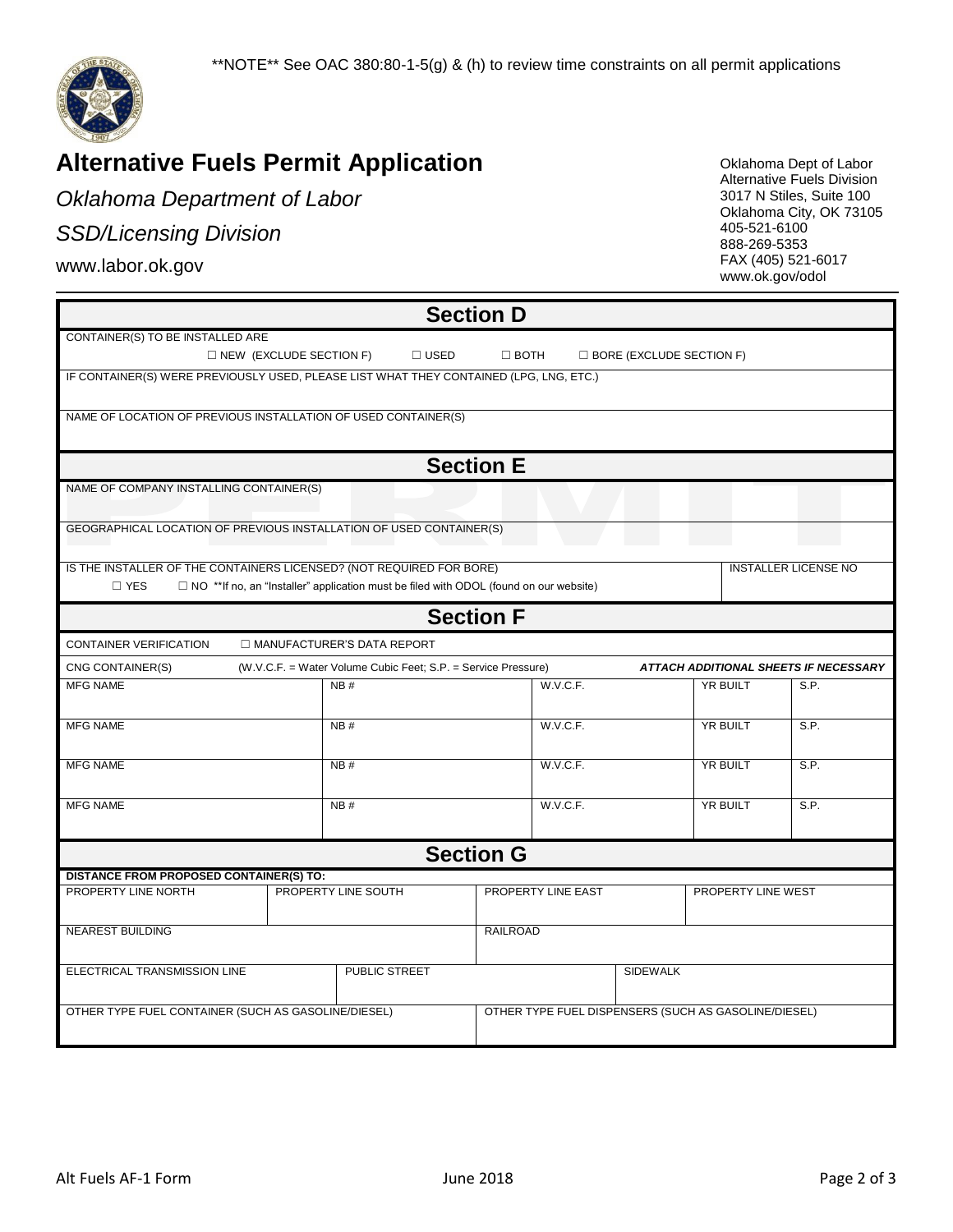

# **Alternative Fuels Permit Application**

*Oklahoma Department of Labor*

## *SSD/Licensing Division*

www.labor.ok.gov

Oklahoma Dept of Labor Alternative Fuels Division 3017 N Stiles, Suite 100 Oklahoma City, OK 73105 405-521-6100 888-269-5353 FAX (405) 521-6017 www.ok.gov/odol

| <b>Section D</b>                                                                       |                                                                                                               |             |                                                      |                 |                             |      |  |  |  |
|----------------------------------------------------------------------------------------|---------------------------------------------------------------------------------------------------------------|-------------|------------------------------------------------------|-----------------|-----------------------------|------|--|--|--|
| CONTAINER(S) TO BE INSTALLED ARE                                                       |                                                                                                               |             |                                                      |                 |                             |      |  |  |  |
|                                                                                        | $\Box$ NEW (EXCLUDE SECTION F)                                                                                | $\Box$ USED | $\Box$ BOTH<br>$\Box$ BORE (EXCLUDE SECTION F)       |                 |                             |      |  |  |  |
| IF CONTAINER(S) WERE PREVIOUSLY USED, PLEASE LIST WHAT THEY CONTAINED (LPG, LNG, ETC.) |                                                                                                               |             |                                                      |                 |                             |      |  |  |  |
|                                                                                        |                                                                                                               |             |                                                      |                 |                             |      |  |  |  |
| NAME OF LOCATION OF PREVIOUS INSTALLATION OF USED CONTAINER(S)                         |                                                                                                               |             |                                                      |                 |                             |      |  |  |  |
|                                                                                        |                                                                                                               |             |                                                      |                 |                             |      |  |  |  |
| <b>Section E</b>                                                                       |                                                                                                               |             |                                                      |                 |                             |      |  |  |  |
| NAME OF COMPANY INSTALLING CONTAINER(S)                                                |                                                                                                               |             |                                                      |                 |                             |      |  |  |  |
| GEOGRAPHICAL LOCATION OF PREVIOUS INSTALLATION OF USED CONTAINER(S)                    |                                                                                                               |             |                                                      |                 |                             |      |  |  |  |
|                                                                                        |                                                                                                               |             |                                                      |                 |                             |      |  |  |  |
| IS THE INSTALLER OF THE CONTAINERS LICENSED? (NOT REQUIRED FOR BORE)                   |                                                                                                               |             |                                                      |                 | <b>INSTALLER LICENSE NO</b> |      |  |  |  |
| $\square$ YES                                                                          | $\Box$ NO **If no, an "Installer" application must be filed with ODOL (found on our website)                  |             |                                                      |                 |                             |      |  |  |  |
| <b>Section F</b>                                                                       |                                                                                                               |             |                                                      |                 |                             |      |  |  |  |
| <b>CONTAINER VERIFICATION</b><br>□ MANUFACTURER'S DATA REPORT                          |                                                                                                               |             |                                                      |                 |                             |      |  |  |  |
| CNG CONTAINER(S)                                                                       | <b>ATTACH ADDITIONAL SHEETS IF NECESSARY</b><br>(W.V.C.F. = Water Volume Cubic Feet; S.P. = Service Pressure) |             |                                                      |                 |                             |      |  |  |  |
| <b>MFG NAME</b>                                                                        | NB#                                                                                                           |             | W.V.C.F.                                             | <b>YR BUILT</b> |                             | S.P. |  |  |  |
|                                                                                        |                                                                                                               |             |                                                      |                 |                             |      |  |  |  |
| <b>MFG NAME</b>                                                                        | NB#                                                                                                           |             | W.V.C.F.                                             | <b>YR BUILT</b> |                             | S.P. |  |  |  |
| <b>MFG NAME</b>                                                                        | NB#                                                                                                           |             |                                                      | YR BUILT        |                             | S.P. |  |  |  |
|                                                                                        |                                                                                                               |             | W.V.C.F.                                             |                 |                             |      |  |  |  |
| <b>MFG NAME</b>                                                                        | NB#                                                                                                           |             | W.V.C.F.                                             | <b>YR BUILT</b> |                             | S.P. |  |  |  |
|                                                                                        |                                                                                                               |             |                                                      |                 |                             |      |  |  |  |
| <b>Section G</b>                                                                       |                                                                                                               |             |                                                      |                 |                             |      |  |  |  |
| <b>DISTANCE FROM PROPOSED CONTAINER(S) TO:</b>                                         |                                                                                                               |             |                                                      |                 |                             |      |  |  |  |
| PROPERTY LINE NORTH                                                                    | PROPERTY LINE SOUTH                                                                                           |             | PROPERTY LINE EAST                                   |                 | PROPERTY LINE WEST          |      |  |  |  |
| <b>NEAREST BUILDING</b>                                                                |                                                                                                               |             | <b>RAILROAD</b>                                      |                 |                             |      |  |  |  |
|                                                                                        |                                                                                                               |             |                                                      |                 |                             |      |  |  |  |
| ELECTRICAL TRANSMISSION LINE                                                           | PUBLIC STREET                                                                                                 |             |                                                      | <b>SIDEWALK</b> |                             |      |  |  |  |
|                                                                                        |                                                                                                               |             |                                                      |                 |                             |      |  |  |  |
| OTHER TYPE FUEL CONTAINER (SUCH AS GASOLINE/DIESEL)                                    |                                                                                                               |             | OTHER TYPE FUEL DISPENSERS (SUCH AS GASOLINE/DIESEL) |                 |                             |      |  |  |  |
|                                                                                        |                                                                                                               |             |                                                      |                 |                             |      |  |  |  |